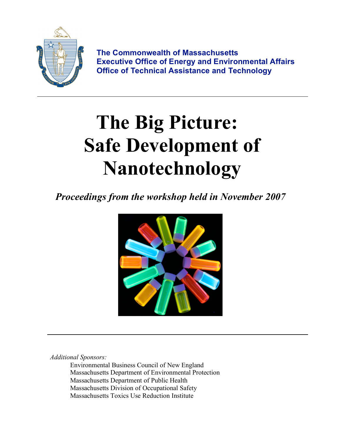

**The Commonwealth of Massachusetts Executive Office of Energy and Environmental Affairs Office of Technical Assistance and Technology**

# **The Big Picture: Safe Development of Nanotechnology**

*Proceedings from the workshop held in November 2007*



*Additional Sponsors:*

Environmental Business Council of New England Massachusetts Department of Environmental Protection Massachusetts Department of Public Health Massachusetts Division of Occupational Safety Massachusetts Toxics Use Reduction Institute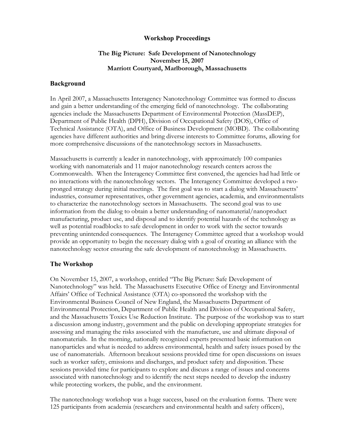# **Workshop Proceedings**

# **The Big Picture: Safe Development of Nanotechnology November 15, 2007 Marriott Courtyard, Marlborough, Massachusetts**

#### **Background**

In April 2007, a Massachusetts Interagency Nanotechnology Committee was formed to discuss and gain a better understanding of the emerging field of nanotechnology. The collaborating agencies include the Massachusetts Department of Environmental Protection (MassDEP), Department of Public Health (DPH), Division of Occupational Safety (DOS), Office of Technical Assistance (OTA), and Office of Business Development (MOBD). The collaborating agencies have different authorities and bring diverse interests to Committee forums, allowing for more comprehensive discussions of the nanotechnology sectors in Massachusetts.

Massachusetts is currently a leader in nanotechnology, with approximately 100 companies working with nanomaterials and 11 major nanotechnology research centers across the Commonwealth. When the Interagency Committee first convened, the agencies had had little or no interactions with the nanotechnology sectors. The Interagency Committee developed a twopronged strategy during initial meetings. The first goal was to start a dialog with Massachusetts' industries, consumer representatives, other government agencies, academia, and environmentalists to characterize the nanotechnology sectors in Massachusetts. The second goal was to use information from the dialog to obtain a better understanding of nanomaterial/nanoproduct manufacturing, product use, and disposal and to identify potential hazards of the technology as well as potential roadblocks to safe development in order to work with the sector towards preventing unintended consequences. The Interagency Committee agreed that a workshop would provide an opportunity to begin the necessary dialog with a goal of creating an alliance with the nanotechnology sector ensuring the safe development of nanotechnology in Massachusetts.

#### **The Workshop**

On November 15, 2007, a workshop, entitled "The Big Picture: Safe Development of Nanotechnology" was held. The Massachusetts Executive Office of Energy and Environmental Affairs' Office of Technical Assistance (OTA) co-sponsored the workshop with the Environmental Business Council of New England, the Massachusetts Department of Environmental Protection, Department of Public Health and Division of Occupational Safety, and the Massachusetts Toxics Use Reduction Institute. The purpose of the workshop was to start a discussion among industry, government and the public on developing appropriate strategies for assessing and managing the risks associated with the manufacture, use and ultimate disposal of nanomaterials. In the morning, nationally recognized experts presented basic information on nanoparticles and what is needed to address environmental, health and safety issues posed by the use of nanomaterials. Afternoon breakout sessions provided time for open discussions on issues such as worker safety, emissions and discharges, and product safety and disposition. These sessions provided time for participants to explore and discuss a range of issues and concerns associated with nanotechnology and to identify the next steps needed to develop the industry while protecting workers, the public, and the environment.

The nanotechnology workshop was a huge success, based on the evaluation forms. There were 125 participants from academia (researchers and environmental health and safety officers),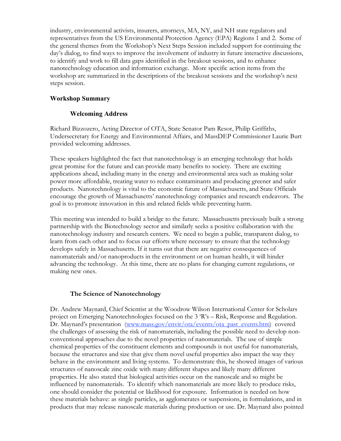industry, environmental activists, insurers, attorneys, MA, NY, and NH state regulators and representatives from the US Environmental Protection Agency (EPA) Regions 1 and 2. Some of the general themes from the Workshop's Next Steps Session included support for continuing the day's dialog, to find ways to improve the involvement of industry in future interactive discussions, to identify and work to fill data gaps identified in the breakout sessions, and to enhance nanotechnology education and information exchange. More specific action items from the workshop are summarized in the descriptions of the breakout sessions and the workshop's next steps session.

# **Workshop Summary**

# **Welcoming Address**

Richard Bizzozero, Acting Director of OTA, State Senator Pam Resor, Philip Griffiths, Undersecretary for Energy and Environmental Affairs, and MassDEP Commissioner Laurie Burt provided welcoming addresses.

These speakers highlighted the fact that nanotechnology is an emerging technology that holds great promise for the future and can provide many benefits to society. There are exciting applications ahead, including many in the energy and environmental area such as making solar power more affordable, treating water to reduce contaminants and producing greener and safer products. Nanotechnology is vital to the economic future of Massachusetts, and State Officials encourage the growth of Massachusetts' nanotechnology companies and research endeavors. The goal is to promote innovation in this and related fields while preventing harm.

This meeting was intended to build a bridge to the future. Massachusetts previously built a strong partnership with the Biotechnology sector and similarly seeks a positive collaboration with the nanotechnology industry and research centers. We need to begin a public, transparent dialog, to learn from each other and to focus our efforts where necessary to ensure that the technology develops safely in Massachusetts. If it turns out that there are negative consequences of nanomaterials and/or nanoproducts in the environment or on human health, it will hinder advancing the technology. At this time, there are no plans for changing current regulations, or making new ones.

#### **The Science of Nanotechnology**

Dr. Andrew Maynard, Chief Scientist at the Woodrow Wilson International Center for Scholars project on Emerging Nanotechnologies focused on the 3 'R's – Risk, Response and Regulation. Dr. Maynard's presentation (www.mass.gov/envir/ota/events/ota\_past\_events.htm) covered the challenges of assessing the risk of nanomaterials, including the possible need to develop nonconventional approaches due to the novel properties of nanomaterials. The use of simple chemical properties of the constituent elements and compounds is not useful for nanomaterials, because the structures and size that give them novel useful properties also impact the way they behave in the environment and living systems. To demonstrate this, he showed images of various structures of nanoscale zinc oxide with many different shapes and likely many different properties. He also stated that biological activities occur on the nanoscale and so might be influenced by nanomaterials. To identify which nanomaterials are more likely to produce risks, one should consider the potential or likelihood for exposure. Information is needed on how these materials behave: as single particles, as agglomerates or suspensions, in formulations, and in products that may release nanoscale materials during production or use. Dr. Maynard also pointed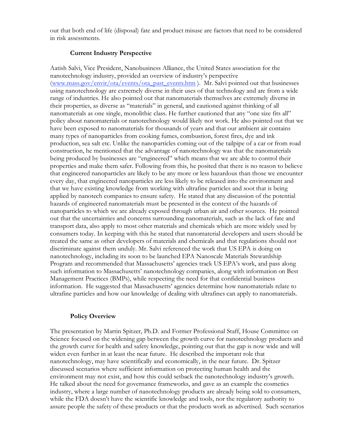out that both end of life (disposal) fate and product misuse are factors that need to be considered in risk assessments.

#### **Current Industry Perspective**

Aatish Salvi, Vice President, Nanobusiness Alliance, the United States association for the nanotechnology industry, provided an overview of industry's perspective (www.mass.gov/envir/ota/events/ota\_past\_events.htm ). Mr. Salvi pointed out that businesses using nanotechnology are extremely diverse in their uses of that technology and are from a wide range of industries. He also pointed out that nanomaterials themselves are extremely diverse in their properties, as diverse as "materials" in general, and cautioned against thinking of all nanomaterials as one single, monolithic class. He further cautioned that any "one size fits all" policy about nanomaterials or nanotechnology would likely not work. He also pointed out that we have been exposed to nanomaterials for thousands of years and that our ambient air contains many types of nanoparticles from cooking fumes, combustion, forest fires, dye and ink production, sea salt etc. Unlike the nanoparticles coming out of the tailpipe of a car or from road construction, he mentioned that the advantage of nanotechnology was that the nanomaterials being produced by businesses are "engineered" which means that we are able to control their properties and make them safer. Following from this, he posited that there is no reason to believe that engineered nanoparticles are likely to be any more or less hazardous than those we encounter every day, that engineered nanoparticles are less likely to be released into the environment and that we have existing knowledge from working with ultrafine particles and soot that is being applied by nanotech companies to ensure safety. He stated that any discussion of the potential hazards of engineered nanomaterials must be presented in the context of the hazards of nanoparticles to which we are already exposed through urban air and other sources. He pointed out that the uncertainties and concerns surrounding nanomaterials, such as the lack of fate and transport data, also apply to most other materials and chemicals which are more widely used by consumers today. In keeping with this he stated that nanomaterial developers and users should be treated the same as other developers of materials and chemicals and that regulations should not discriminate against them unduly. Mr. Salvi referenced the work that US EPA is doing on nanotechnology, including its soon to be launched EPA Nanoscale Materials Stewardship Program and recommended that Massachusetts' agencies track US EPA's work, and pass along such information to Massachusetts' nanotechnology companies, along with information on Best Management Practices (BMPs), while respecting the need for that confidential business information. He suggested that Massachusetts' agencies determine how nanomaterials relate to ultrafine particles and how our knowledge of dealing with ultrafines can apply to nanomaterials.

#### **Policy Overview**

The presentation by Martin Spitzer, Ph.D. and Former Professional Staff, House Committee on Science focused on the widening gap between the growth curve for nanotechnology products and the growth curve for health and safety knowledge, pointing out that the gap is now wide and will widen even further in at least the near future. He described the important role that nanotechnology, may have scientifically and economically, in the near future. Dr. Spitzer discussed scenarios where sufficient information on protecting human health and the environment may not exist, and how this could setback the nanotechnology industry's growth. He talked about the need for governance frameworks, and gave as an example the cosmetics industry, where a large number of nanotechnology products are already being sold to consumers, while the FDA doesn't have the scientific knowledge and tools, nor the regulatory authority to assure people the safety of these products or that the products work as advertised. Such scenarios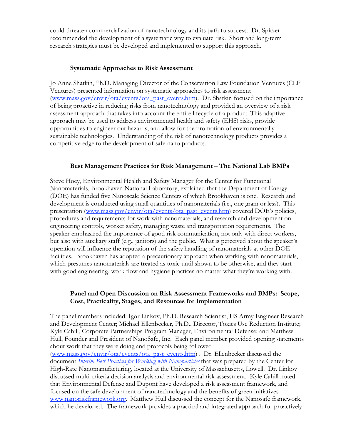could threaten commercialization of nanotechnology and its path to success. Dr. Spitzer recommended the development of a systematic way to evaluate risk. Short and long-term research strategies must be developed and implemented to support this approach.

#### **Systematic Approaches to Risk Assessment**

Jo Anne Shatkin, Ph.D. Managing Director of the Conservation Law Foundation Ventures (CLF Ventures) presented information on systematic approaches to risk assessment (www.mass.gov/envir/ota/events/ota\_past\_events.htm). Dr. Shatkin focused on the importance of being proactive in reducing risks from nanotechnology and provided an overview of a risk assessment approach that takes into account the entire lifecycle of a product. This adaptive approach may be used to address environmental health and safety (EHS) risks, provide opportunities to engineer out hazards, and allow for the promotion of environmentally sustainable technologies. Understanding of the risk of nanotechnology products provides a competitive edge to the development of safe nano products.

#### **Best Management Practices for Risk Management – The National Lab BMPs**

Steve Hoey, Environmental Health and Safety Manager for the Center for Functional Nanomaterials, Brookhaven National Laboratory, explained that the Department of Energy (DOE) has funded five Nanoscale Science Centers of which Brookhaven is one. Research and development is conducted using small quantities of nanomaterials (i.e., one gram or less). This presentation (www.mass.gov/envir/ota/events/ota\_past\_events.htm) covered DOE's policies, procedures and requirements for work with nanomaterials, and research and development on engineering controls, worker safety, managing waste and transportation requirements. The speaker emphasized the importance of good risk communication, not only with direct workers, but also with auxiliary staff (e.g., janitors) and the public. What is perceived about the speaker's operation will influence the reputation of the safety handling of nanomaterials at other DOE facilities. Brookhaven has adopted a precautionary approach when working with nanomaterials, which presumes nanomaterials are treated as toxic until shown to be otherwise, and they start with good engineering, work flow and hygiene practices no matter what they're working with.

#### **Panel and Open Discussion on Risk Assessment Frameworks and BMPs: Scope, Cost, Practicality, Stages, and Resources for Implementation**

The panel members included: Igor Linkov, Ph.D. Research Scientist, US Army Engineer Research and Development Center; Michael Ellenbecker, Ph.D., Director, Toxics Use Reduction Institute; Kyle Cahill, Corporate Partnerships Program Manager, Environmental Defense; and Matthew Hull, Founder and President of NanoSafe, Inc. Each panel member provided opening statements about work that they were doing and protocols being followed (www.mass.gov/envir/ota/events/ota\_past\_events.htm) . Dr. Ellenbecker discussed the document *Interim Best Practices for Working with Nanoparticles* that was prepared by the Center for High-Rate Nanomanufacturing, located at the University of Massachusetts, Lowell. Dr. Linkov discussed multi-criteria decision analysis and environmental risk assessment. Kyle Cahill noted that Environmental Defense and Dupont have developed a risk assessment framework, and focused on the safe development of nanotechnology and the benefits of green initiatives www.nanoriskframework.org. Matthew Hull discussed the concept for the Nanosafe framework, which he developed. The framework provides a practical and integrated approach for proactively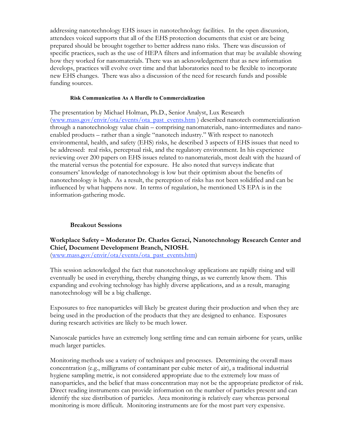addressing nanotechnology EHS issues in nanotechnology facilities. In the open discussion, attendees voiced supports that all of the EHS protection documents that exist or are being prepared should be brought together to better address nano risks. There was discussion of specific practices, such as the use of HEPA filters and information that may be available showing how they worked for nanomaterials. There was an acknowledgement that as new information develops, practices will evolve over time and that laboratories need to be flexible to incorporate new EHS changes. There was also a discussion of the need for research funds and possible funding sources.

#### **Risk Communication As A Hurdle to Commercialization**

The presentation by Michael Holman, Ph.D., Senior Analyst, Lux Research (www.mass.gov/envir/ota/events/ota\_past\_events.htm ) described nanotech commercialization through a nanotechnology value chain – comprising nanomaterials, nano-intermediates and nanoenabled products – rather than a single "nanotech industry." With respect to nanotech environmental, health, and safety (EHS) risks, he described 3 aspects of EHS issues that need to be addressed: real risks, perceptual risk, and the regulatory environment. In his experience reviewing over 200 papers on EHS issues related to nanomaterials, most dealt with the hazard of the material versus the potential for exposure. He also noted that surveys indicate that consumers' knowledge of nanotechnology is low but their optimism about the benefits of nanotechnology is high. As a result, the perception of risks has not been solidified and can be influenced by what happens now. In terms of regulation, he mentioned US EPA is in the information-gathering mode.

#### **Breakout Sessions**

**Workplace Safety – Moderator Dr. Charles Geraci, Nanotechnology Research Center and Chief, Document Development Branch, NIOSH.**

(www.mass.gov/envir/ota/events/ota\_past\_events.htm)

This session acknowledged the fact that nanotechnology applications are rapidly rising and will eventually be used in everything, thereby changing things, as we currently know them. This expanding and evolving technology has highly diverse applications, and as a result, managing nanotechnology will be a big challenge.

Exposures to free nanoparticles will likely be greatest during their production and when they are being used in the production of the products that they are designed to enhance. Exposures during research activities are likely to be much lower.

Nanoscale particles have an extremely long settling time and can remain airborne for years, unlike much larger particles.

Monitoring methods use a variety of techniques and processes. Determining the overall mass concentration (e.g., milligrams of contaminant per cubic meter of air), a traditional industrial hygiene sampling metric, is not considered appropriate due to the extremely low mass of nanoparticles, and the belief that mass concentration may not be the appropriate predictor of risk. Direct reading instruments can provide information on the number of particles present and can identify the size distribution of particles. Area monitoring is relatively easy whereas personal monitoring is more difficult. Monitoring instruments are for the most part very expensive.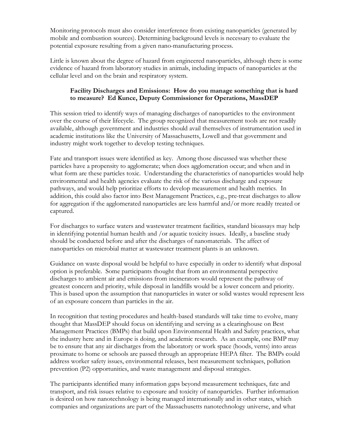Monitoring protocols must also consider interference from existing nanoparticles (generated by mobile and combustion sources). Determining background levels is necessary to evaluate the potential exposure resulting from a given nano-manufacturing process.

Little is known about the degree of hazard from engineered nanoparticles, although there is some evidence of hazard from laboratory studies in animals, including impacts of nanoparticles at the cellular level and on the brain and respiratory system.

# **Facility Discharges and Emissions: How do you manage something that is hard to measure? Ed Kunce, Deputy Commissioner for Operations, MassDEP**

This session tried to identify ways of managing discharges of nanoparticles to the environment over the course of their lifecycle. The group recognized that measurement tools are not readily available, although government and industries should avail themselves of instrumentation used in academic institutions like the University of Massachusetts, Lowell and that government and industry might work together to develop testing techniques.

Fate and transport issues were identified as key. Among those discussed was whether these particles have a propensity to agglomerate; when does agglomeration occur; and when and in what form are these particles toxic. Understanding the characteristics of nanoparticles would help environmental and health agencies evaluate the risk of the various discharge and exposure pathways, and would help prioritize efforts to develop measurement and health metrics. In addition, this could also factor into Best Management Practices, e.g., pre-treat discharges to allow for aggregation if the agglomerated nanoparticles are less harmful and/or more readily treated or captured.

For discharges to surface waters and wastewater treatment facilities, standard bioassays may help in identifying potential human health and /or aquatic toxicity issues. Ideally, a baseline study should be conducted before and after the discharges of nanomaterials. The affect of nanoparticles on microbial matter at wastewater treatment plants is an unknown.

Guidance on waste disposal would be helpful to have especially in order to identify what disposal option is preferable. Some participants thought that from an environmental perspective discharges to ambient air and emissions from incinerators would represent the pathway of greatest concern and priority, while disposal in landfills would be a lower concern and priority. This is based upon the assumption that nanoparticles in water or solid wastes would represent less of an exposure concern than particles in the air.

In recognition that testing procedures and health-based standards will take time to evolve, many thought that MassDEP should focus on identifying and serving as a clearinghouse on Best Management Practices (BMPs) that build upon Environmental Health and Safety practices, what the industry here and in Europe is doing, and academic research. As an example, one BMP may be to ensure that any air discharges from the laboratory or work space (hoods, vents) into areas proximate to home or schools are passed through an appropriate HEPA filter. The BMPs could address worker safety issues, environmental releases, best measurement techniques, pollution prevention (P2) opportunities, and waste management and disposal strategies.

The participants identified many information gaps beyond measurement techniques, fate and transport, and risk issues relative to exposure and toxicity of nanoparticles. Further information is desired on how nanotechnology is being managed internationally and in other states, which companies and organizations are part of the Massachusetts nanotechnology universe, and what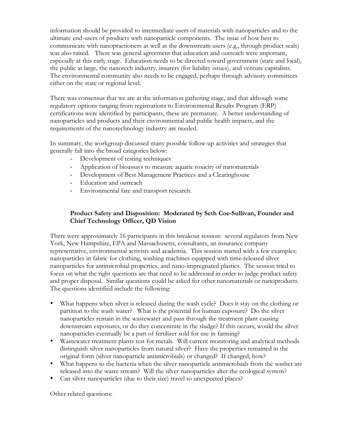information should be provided to intermediate users of materials with nanoparticles and to the ultimate end-users of products with nanoparticle components. The issue of how best to communicate with nanopractioners as well as the downstream users (e.g., through product seals) was also raised. There was general agreement that education and outreach were important, especially at this early stage. Education needs to be directed toward government (state and local), the public at large, the nanotech industry, insurers (for liability issues), and venture capitalists. The environmental community also needs to be engaged, perhaps through advisory committees either on the state or regional level.

There was consensus that we are at the information gathering stage, and that although some regulatory options ranging from registrations to Environmental Results Program (ERP) certifications were identified by participants, these are premature. A better understanding of nanoparticles and products and their environmental and public health impacts, and the requirements of the nanotechnology industry are needed.

In summary, the workgroup discussed many possible follow-up activities and strategies that generally fall into the broad categories below:

- Development of testing techniques
- Application of bioassays to measure aquatic toxicity of nanomaterials
- Development of Best Management Practices and a Clearinghouse
- Education and outreach
- Environmental fate and transport research.

# **Product Safety and Disposition: Moderated by Seth Coe-Sullivan, Founder and Chief Technology Officer, QD Vision**

There were approximately 16 participants in this breakout session: several regulators from New York, New Hampshire, EPA and Massachusetts, consultants, an insurance company representative, environmental activists and academia. This session started with a few examples: nanoparticles in fabric for clothing, washing machines equipped with time-released silver nanoparticles for antimicrobial properties, and nano-impregnated plastics. The session tried to focus on what the right questions are that need to be addressed in order to judge product safety and proper disposal. Similar questions could be asked for other nanomaterials or nanoproducts. The questions identified include the following:

- What happens when silver is released during the wash cycle? Does it stay on the clothing or partition to the wash water? What is the potential for human exposure? Do the silver nanoparticles remain in the wastewater and pass through the treatment plant causing downstream exposures, or do they concentrate in the sludge? If this occurs, would the silver nanoparticles eventually be a part of fertilizer sold for use in farming?
- Wastewater treatment plants test for metals. Will current monitoring and analytical methods distinguish silver nanoparticles from natural silver? Have the properties remained in the original form (silver nanoparticle antimicrobials) or changed? If changed, how?
- What happens to the bacteria when the silver nanoparticle antimicrobials from the washer are released into the waste stream? Will the silver nanoparticles alter the ecological system?
- Can silver nanoparticles (due to their size) travel to unexpected places?

Other related questions: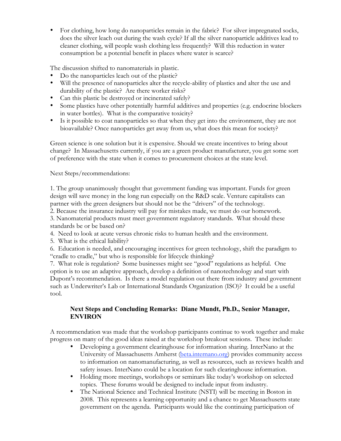• For clothing, how long do nanoparticles remain in the fabric? For silver impregnated socks, does the silver leach out during the wash cycle? If all the silver nanoparticle additives lead to cleaner clothing, will people wash clothing less frequently? Will this reduction in water consumption be a potential benefit in places where water is scarce?

The discussion shifted to nanomaterials in plastic.

- Do the nanoparticles leach out of the plastic?
- Will the presence of nanoparticles alter the recycle-ability of plastics and alter the use and durability of the plastic? Are there worker risks?
- Can this plastic be destroyed or incinerated safely?
- Some plastics have other potentially harmful additives and properties (e.g. endocrine blockers in water bottles). What is the comparative toxicity?
- Is it possible to coat nanoparticles so that when they get into the environment, they are not bioavailable? Once nanoparticles get away from us, what does this mean for society?

Green science is one solution but it is expensive. Should we create incentives to bring about change? In Massachusetts currently, if you are a green product manufacturer, you get some sort of preference with the state when it comes to procurement choices at the state level.

Next Steps/recommendations:

1. The group unanimously thought that government funding was important. Funds for green design will save money in the long run especially on the R&D scale. Venture capitalists can partner with the green designers but should not be the "drivers" of the technology.

2. Because the insurance industry will pay for mistakes made, we must do our homework.

3. Nanomaterial products must meet government regulatory standards. What should these standards be or be based on?

- 4. Need to look at acute versus chronic risks to human health and the environment.
- 5. What is the ethical liability?

6. Education is needed, and encouraging incentives for green technology, shift the paradigm to "cradle to cradle," but who is responsible for lifecycle thinking?

7. What role is regulation? Some businesses might see "good" regulations as helpful. One option is to use an adaptive approach, develop a definition of nanotechnology and start with Dupont's recommendation. Is there a model regulation out there from industry and government such as Underwriter's Lab or International Standards Organization (ISO)? It could be a useful tool.

# **Next Steps and Concluding Remarks: Diane Mundt, Ph.D., Senior Manager, ENVIRON**

A recommendation was made that the workshop participants continue to work together and make progress on many of the good ideas raised at the workshop breakout sessions. These include:

- Developing a government clearinghouse for information sharing. InterNano at the University of Massachusetts Amherst (beta.internano.org) provides community access to information on nanomanufacturing, as well as resources, such as reviews health and safety issues. InterNano could be a location for such clearinghouse information.
- Holding more meetings, workshops or seminars like today's workshop on selected topics. These forums would be designed to include input from industry.
- The National Science and Technical Institute (NSTI) will be meeting in Boston in 2008. This represents a learning opportunity and a chance to get Massachusetts state government on the agenda. Participants would like the continuing participation of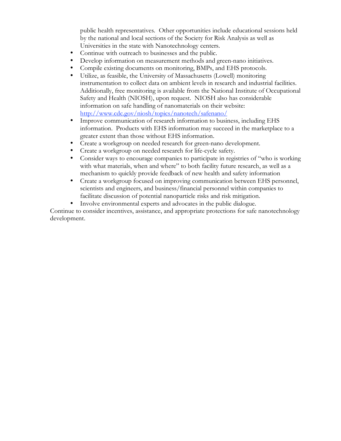public health representatives. Other opportunities include educational sessions held by the national and local sections of the Society for Risk Analysis as well as Universities in the state with Nanotechnology centers.

- Continue with outreach to businesses and the public.
- Develop information on measurement methods and green-nano initiatives.
- Compile existing documents on monitoring, BMPs, and EHS protocols.
- Utilize, as feasible, the University of Massachusetts (Lowell) monitoring instrumentation to collect data on ambient levels in research and industrial facilities. Additionally, free monitoring is available from the National Institute of Occupational Safety and Health (NIOSH), upon request. NIOSH also has considerable information on safe handling of nanomaterials on their website: http://www.cdc.gov/niosh/topics/nanotech/safenano/
- Improve communication of research information to business, including EHS information. Products with EHS information may succeed in the marketplace to a greater extent than those without EHS information.
- Create a workgroup on needed research for green-nano development.
- Create a workgroup on needed research for life-cycle safety.
- Consider ways to encourage companies to participate in registries of "who is working with what materials, when and where" to both facility future research, as well as a mechanism to quickly provide feedback of new health and safety information
- Create a workgroup focused on improving communication between EHS personnel, scientists and engineers, and business/financial personnel within companies to facilitate discussion of potential nanoparticle risks and risk mitigation.
- Involve environmental experts and advocates in the public dialogue.

Continue to consider incentives, assistance, and appropriate protections for safe nanotechnology development.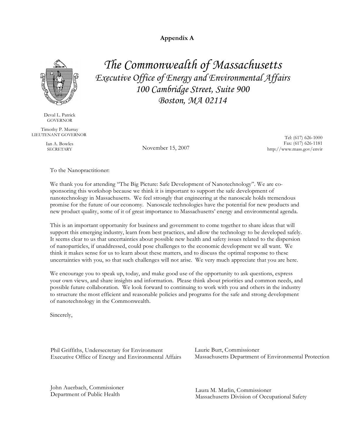**Appendix A**

*The Commonwealth of Massachusetts*

*Executive Office of Energy and Environmental Affairs*

*100 Cambridge Street, Suite 900*

*Boston, MA 02114*



Deval L. Patrick GOVERNOR

Timothy P. Murray LIEUTENANT GOVERNOR

Ian A. Bowles

November 15, 2007

 Tel: (617) 626-1000 Fax: (617) 626-1181 http://www.mass.gov/envir

To the Nanopractitioner:

We thank you for attending "The Big Picture: Safe Development of Nanotechnology". We are cosponsoring this workshop because we think it is important to support the safe development of nanotechnology in Massachusetts. We feel strongly that engineering at the nanoscale holds tremendous promise for the future of our economy. Nanoscale technologies have the potential for new products and new product quality, some of it of great importance to Massachusetts' energy and environmental agenda.

This is an important opportunity for business and government to come together to share ideas that will support this emerging industry, learn from best practices, and allow the technology to be developed safely. It seems clear to us that uncertainties about possible new health and safety issues related to the dispersion of nanoparticles, if unaddressed, could pose challenges to the economic development we all want. We think it makes sense for us to learn about these matters, and to discuss the optimal response to these uncertainties with you, so that such challenges will not arise. We very much appreciate that you are here.

We encourage you to speak up, today, and make good use of the opportunity to ask questions, express your own views, and share insights and information. Please think about priorities and common needs, and possible future collaboration. We look forward to continuing to work with you and others in the industry to structure the most efficient and reasonable policies and programs for the safe and strong development of nanotechnology in the Commonwealth.

Sincerely,

Phil Griffiths, Undersecretary for Environment Executive Office of Energy and Environmental Affairs

John Auerbach, Commissioner Department of Public Health

Laurie Burt, Commissioner Massachusetts Department of Environmental Protection

Laura M. Marlin, Commissioner Massachusetts Division of Occupational Safety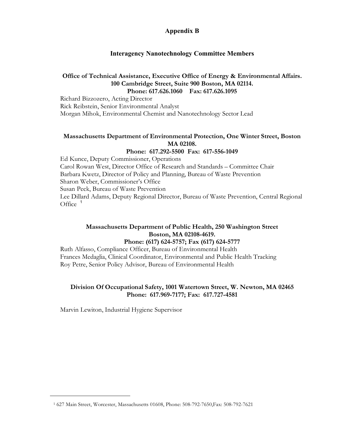# **Appendix B**

# **Interagency Nanotechnology Committee Members**

#### **Office of Technical Assistance, Executive Office of Energy & Environmental Affairs. 100 Cambridge Street, Suite 900 Boston, MA 02114. Phone: 617.626.1060 Fax: 617.626.1095**

Richard Bizzozero, Acting Director Rick Reibstein, Senior Environmental Analyst Morgan Mihok, Environmental Chemist and Nanotechnology Sector Lead

# **Massachusetts Department of Environmental Protection, One Winter Street, Boston MA 02108.**

#### **Phone: 617.292-5500 Fax: 617-556-1049**

Ed Kunce, Deputy Commissioner, Operations Carol Rowan West, Director Office of Research and Standards – Committee Chair Barbara Kwetz, Director of Policy and Planning, Bureau of Waste Prevention Sharon Weber, Commissioner's Office Susan Peck, Bureau of Waste Prevention Lee Dillard Adams, Deputy Regional Director, Bureau of Waste Prevention, Central Regional Office  $<sup>1</sup>$ </sup>

# **Massachusetts Department of Public Health, 250 Washington Street Boston, MA 02108-4619.**

**Phone: (617) 624-5757; Fax (617) 624-5777**

Ruth Alfasso, Compliance Officer, Bureau of Environmental Health Frances Medaglia, Clinical Coordinator, Environmental and Public Health Tracking Roy Petre, Senior Policy Advisor, Bureau of Environmental Health

#### **Division Of Occupational Safety, 1001 Watertown Street, W. Newton, MA 02465 Phone: 617.969-7177; Fax: 617.727-4581**

Marvin Lewiton, Industrial Hygiene Supervisor

 $\overline{a}$ 

<sup>1</sup> 627 Main Street, Worcester, Massachusetts 01608, Phone: 508-792-7650,Fax: 508-792-7621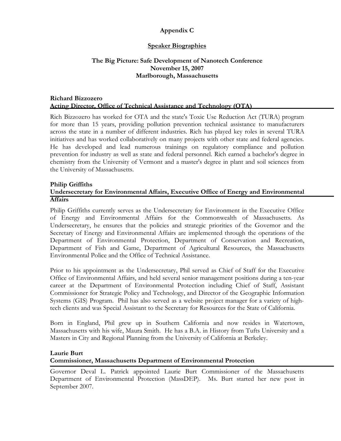# **Appendix C**

# **Speaker Biographies**

# **The Big Picture: Safe Development of Nanotech Conference November 15, 2007 Marlborough, Massachusetts**

#### **Richard Bizzozero Acting Director, Office of Technical Assistance and Technology (OTA)**

Rich Bizzozero has worked for OTA and the state's Toxic Use Reduction Act (TURA) program for more than 15 years, providing pollution prevention technical assistance to manufacturers across the state in a number of different industries. Rich has played key roles in several TURA initiatives and has worked collaboratively on many projects with other state and federal agencies. He has developed and lead numerous trainings on regulatory compliance and pollution prevention for industry as well as state and federal personnel. Rich earned a bachelor's degree in chemistry from the University of Vermont and a master's degree in plant and soil sciences from the University of Massachusetts.

#### **Philip Griffiths Undersecretary for Environmental Affairs, Executive Office of Energy and Environmental Affairs**

Philip Griffiths currently serves as the Undersecretary for Environment in the Executive Office of Energy and Environmental Affairs for the Commonwealth of Massachusetts. As Undersecretary, he ensures that the policies and strategic priorities of the Governor and the Secretary of Energy and Environmental Affairs are implemented through the operations of the Department of Environmental Protection, Department of Conservation and Recreation, Department of Fish and Game, Department of Agricultural Resources, the Massachusetts Environmental Police and the Office of Technical Assistance.

Prior to his appointment as the Undersecretary, Phil served as Chief of Staff for the Executive Office of Environmental Affairs, and held several senior management positions during a ten-year career at the Department of Environmental Protection including Chief of Staff, Assistant Commissioner for Strategic Policy and Technology, and Director of the Geographic Information Systems (GIS) Program. Phil has also served as a website project manager for a variety of hightech clients and was Special Assistant to the Secretary for Resources for the State of California.

Born in England, Phil grew up in Southern California and now resides in Watertown, Massachusetts with his wife, Maura Smith. He has a B.A. in History from Tufts University and a Masters in City and Regional Planning from the University of California at Berkeley.

#### **Laurie Burt**

#### **Commissioner, Massachusetts Department of Environmental Protection**

Governor Deval L. Patrick appointed Laurie Burt Commissioner of the Massachusetts Department of Environmental Protection (MassDEP). Ms. Burt started her new post in September 2007.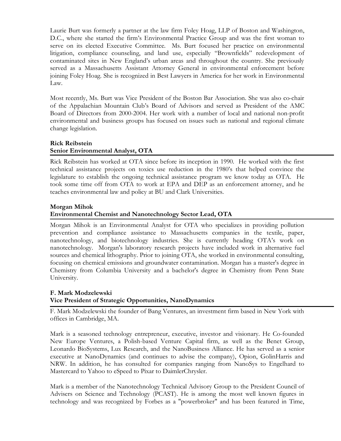Laurie Burt was formerly a partner at the law firm Foley Hoag, LLP of Boston and Washington, D.C., where she started the firm's Environmental Practice Group and was the first woman to serve on its elected Executive Committee. Ms. Burt focused her practice on environmental litigation, compliance counseling, and land use, especially "Brownfields" redevelopment of contaminated sites in New England's urban areas and throughout the country. She previously served as a Massachusetts Assistant Attorney General in environmental enforcement before joining Foley Hoag. She is recognized in Best Lawyers in America for her work in Environmental Law.

Most recently, Ms. Burt was Vice President of the Boston Bar Association. She was also co-chair of the Appalachian Mountain Club's Board of Advisors and served as President of the AMC Board of Directors from 2000-2004. Her work with a number of local and national non-profit environmental and business groups has focused on issues such as national and regional climate change legislation.

#### **Rick Reibstein**

# **Senior Environmental Analyst, OTA**

Rick Reibstein has worked at OTA since before its inception in 1990. He worked with the first technical assistance projects on toxics use reduction in the 1980's that helped convince the legislature to establish the ongoing technical assistance program we know today as OTA. He took some time off from OTA to work at EPA and DEP as an enforcement attorney, and he teaches environmental law and policy at BU and Clark Universities.

#### **Morgan Mihok**

# **Environmental Chemist and Nanotechnology Sector Lead, OTA**

Morgan Mihok is an Environmental Analyst for OTA who specializes in providing pollution prevention and compliance assistance to Massachusetts companies in the textile, paper, nanotechnology, and biotechnology industries. She is currently heading OTA's work on nanotechnology. Morgan's laboratory research projects have included work in alternative fuel sources and chemical lithography. Prior to joining OTA, she worked in environmental consulting, focusing on chemical emissions and groundwater contamination. Morgan has a master's degree in Chemistry from Columbia University and a bachelor's degree in Chemistry from Penn State University.

#### **F. Mark Modzelewski Vice President of Strategic Opportunities, NanoDynamics**

F. Mark Modzelewski the founder of Bang Ventures, an investment firm based in New York with offices in Cambridge, MA.

Mark is a seasoned technology entrepreneur, executive, investor and visionary. He Co-founded New Europe Ventures, a Polish-based Venture Capital firm, as well as the Benet Group, Leonardo BioSystems, Lux Research, and the NanoBusiness Alliance. He has served as a senior executive at NanoDynamics (and continues to advise the company), Opion, GolinHarris and NRW. In addition, he has consulted for companies ranging from NanoSys to Engelhard to Mastercard to Yahoo to eSpeed to Pixar to DaimlerChrysler.

Mark is a member of the Nanotechnology Technical Advisory Group to the President Council of Advisers on Science and Technology (PCAST). He is among the most well known figures in technology and was recognized by Forbes as a "powerbroker" and has been featured in Time,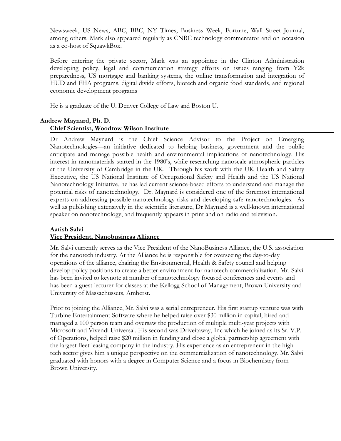Newsweek, US News, ABC, BBC, NY Times, Business Week, Fortune, Wall Street Journal, among others. Mark also appeared regularly as CNBC technology commentator and on occasion as a co-host of SquawkBox.

Before entering the private sector, Mark was an appointee in the Clinton Administration developing policy, legal and communication strategy efforts on issues ranging from Y2k preparedness, US mortgage and banking systems, the online transformation and integration of HUD and FHA programs, digital divide efforts, biotech and organic food standards, and regional economic development programs

He is a graduate of the U. Denver College of Law and Boston U.

# **Andrew Maynard, Ph. D. Chief Scientist, Woodrow Wilson Institute**

Dr Andrew Maynard is the Chief Science Advisor to the Project on Emerging Nanotechnologies—an initiative dedicated to helping business, government and the public anticipate and manage possible health and environmental implications of nanotechnology. His interest in nanomaterials started in the 1980's, while researching nanoscale atmospheric particles at the University of Cambridge in the UK. Through his work with the UK Health and Safety Executive, the US National Institute of Occupational Safety and Health and the US National Nanotechnology Initiative, he has led current science-based efforts to understand and manage the potential risks of nanotechnology. Dr. Maynard is considered one of the foremost international experts on addressing possible nanotechnology risks and developing safe nanotechnologies. As well as publishing extensively in the scientific literature, Dr Maynard is a well-known international speaker on nanotechnology, and frequently appears in print and on radio and television.

#### **Aatish Salvi**

#### **Vice President, Nanobusiness Alliance**

Mr. Salvi currently serves as the Vice President of the NanoBusiness Alliance, the U.S. association for the nanotech industry. At the Alliance he is responsible for overseeing the day-to-day operations of the alliance, chairing the Environmental, Health & Safety council and helping develop policy positions to create a better environment for nanotech commercialization. Mr. Salvi has been invited to keynote at number of nanotechnology focused conferences and events and has been a guest lecturer for classes at the Kellogg School of Management, Brown University and University of Massachussets, Amherst.

Prior to joining the Alliance, Mr. Salvi was a serial entrepreneur. His first startup venture was with Turbine Entertainment Software where he helped raise over \$30 million in capital, hired and managed a 100 person team and oversaw the production of multiple multi-year projects with Microsoft and Vivendi Universal. His second was Driveitaway, Inc which he joined as its Sr. V.P. of Operations, helped raise \$20 million in funding and close a global partnership agreement with the largest fleet leasing company in the industry. His experience as an entrepreneur in the hightech sector gives him a unique perspective on the commercialization of nanotechnology. Mr. Salvi graduated with honors with a degree in Computer Science and a focus in Biochemistry from Brown University.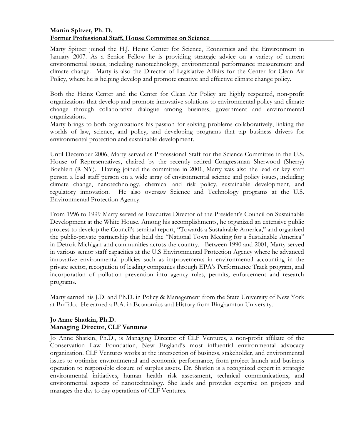# **Martin Spitzer, Ph. D. Former Professional Staff, House Committee on Science**

Marty Spitzer joined the H.J. Heinz Center for Science, Economics and the Environment in January 2007. As a Senior Fellow he is providing strategic advice on a variety of current environmental issues, including nanotechnology, environmental performance measurement and climate change. Marty is also the Director of Legislative Affairs for the Center for Clean Air Policy, where he is helping develop and promote creative and effective climate change policy.

Both the Heinz Center and the Center for Clean Air Policy are highly respected, non-profit organizations that develop and promote innovative solutions to environmental policy and climate change through collaborative dialogue among business, government and environmental organizations.

Marty brings to both organizations his passion for solving problems collaboratively, linking the worlds of law, science, and policy, and developing programs that tap business drivers for environmental protection and sustainable development.

Until December 2006, Marty served as Professional Staff for the Science Committee in the U.S. House of Representatives, chaired by the recently retired Congressman Sherwood (Sherry) Boehlert (R-NY). Having joined the committee in 2001, Marty was also the lead or key staff person a lead staff person on a wide array of environmental science and policy issues, including climate change, nanotechnology, chemical and risk policy, sustainable development, and regulatory innovation. He also oversaw Science and Technology programs at the U.S. Environmental Protection Agency.

From 1996 to 1999 Marty served as Executive Director of the President's Council on Sustainable Development at the White House. Among his accomplishments, he organized an extensive public process to develop the Council's seminal report, "Towards a Sustainable America," and organized the public-private partnership that held the "National Town Meeting for a Sustainable America" in Detroit Michigan and communities across the country. Between 1990 and 2001, Marty served in various senior staff capacities at the U.S Environmental Protection Agency where he advanced innovative environmental policies such as improvements in environmental accounting in the private sector, recognition of leading companies through EPA's Performance Track program, and incorporation of pollution prevention into agency rules, permits, enforcement and research programs.

Marty earned his J.D. and Ph.D. in Policy & Management from the State University of New York at Buffalo. He earned a B.A. in Economics and History from Binghamton University.

# **Jo Anne Shatkin, Ph.D. Managing Director, CLF Ventures**

Jo Anne Shatkin, Ph.D., is Managing Director of CLF Ventures, a non-profit affiliate of the Conservation Law Foundation, New England's most influential environmental advocacy organization. CLF Ventures works at the intersection of business, stakeholder, and environmental issues to optimize environmental and economic performance, from project launch and business operation to responsible closure of surplus assets. Dr. Shatkin is a recognized expert in strategic environmental initiatives, human health risk assessment, technical communications, and environmental aspects of nanotechnology. She leads and provides expertise on projects and manages the day to day operations of CLF Ventures.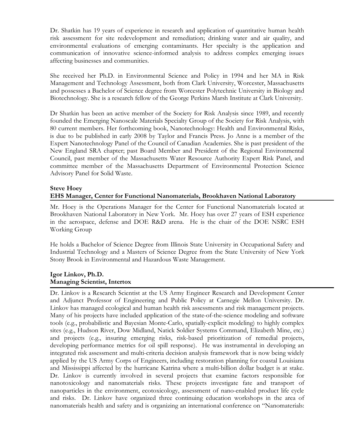Dr. Shatkin has 19 years of experience in research and application of quantitative human health risk assessment for site redevelopment and remediation; drinking water and air quality, and environmental evaluations of emerging contaminants. Her specialty is the application and communication of innovative science-informed analysis to address complex emerging issues affecting businesses and communities.

She received her Ph.D. in Environmental Science and Policy in 1994 and her MA in Risk Management and Technology Assessment, both from Clark University, Worcester, Massachusetts and possesses a Bachelor of Science degree from Worcester Polytechnic University in Biology and Biotechnology. She is a research fellow of the George Perkins Marsh Institute at Clark University.

Dr Shatkin has been an active member of the Society for Risk Analysis since 1989, and recently founded the Emerging Nanoscale Materials Specialty Group of the Society for Risk Analysis, with 80 current members. Her forthcoming book, Nanotechnology: Health and Environmental Risks, is due to be published in early 2008 by Taylor and Francis Press. Jo Anne is a member of the Expert Nanotechnology Panel of the Council of Canadian Academies. She is past president of the New England SRA chapter; past Board Member and President of the Regional Environmental Council, past member of the Massachusetts Water Resource Authority Expert Risk Panel, and committee member of the Massachusetts Department of Environmental Protection Science Advisory Panel for Solid Waste.

#### **Steve Hoey**

# **EHS Manager, Center for Functional Nanomaterials, Brookhaven National Laboratory**

Mr. Hoey is the Operations Manager for the Center for Functional Nanomaterials located at Brookhaven National Laboratory in New York. Mr. Hoey has over 27 years of ESH experience in the aerospace, defense and DOE R&D arena. He is the chair of the DOE NSRC ESH Working Group

He holds a Bachelor of Science Degree from Illinois State University in Occupational Safety and Industrial Technology and a Masters of Science Degree from the State University of New York Stony Brook in Environmental and Hazardous Waste Management.

#### **Igor Linkov, Ph.D. Managing Scientist, Intertox**

Dr. Linkov is a Research Scientist at the US Army Engineer Research and Development Center and Adjunct Professor of Engineering and Public Policy at Carnegie Mellon University. Dr. Linkov has managed ecological and human health risk assessments and risk management projects. Many of his projects have included application of the state-of-the-science modeling and software tools (e.g., probabilistic and Bayesian Monte-Carlo, spatially-explicit modeling) to highly complex sites (e.g., Hudson River, Dow Midland, Natick Soldier Systems Command, Elizabeth Mine, etc.) and projects (e.g., insuring emerging risks, risk-based prioritization of remedial projects, developing performance metrics for oil spill response). He was instrumental in developing an integrated risk assessment and multi-criteria decision analysis framework that is now being widely applied by the US Army Corps of Engineers, including restoration planning for coastal Louisiana and Mississippi affected by the hurricane Katrina where a multi-billion dollar budget is at stake. Dr. Linkov is currently involved in several projects that examine factors responsible for nanotoxicology and nanomaterials risks. These projects investigate fate and transport of nanoparticles in the environment, ecotoxicology, assessment of nano-enabled product life cycle and risks. Dr. Linkov have organized three continuing education workshops in the area of nanomaterials health and safety and is organizing an international conference on "Nanomaterials: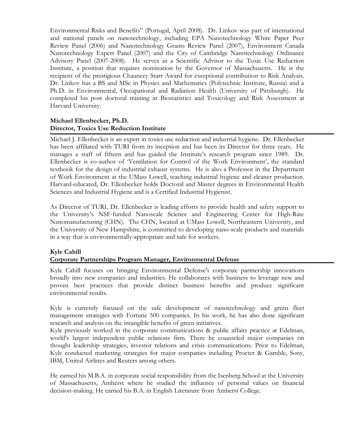Environmental Risks and Benefits" (Portugal, April 2008). Dr. Linkov was part of international and national panels on nanotechnology, including EPA Nanotechnology White Paper Peer Review Panel (2006) and Nanotechnology Grants Review Panel (2007), Environment Canada Nanotechnology Expert Panel (2007) and the City of Cambridge Nanotechnology Ordinance Advisory Panel (2007-2008). He serves as a Scientific Advisor to the Toxic Use Reduction Institute, a position that requires nomination by the Governor of Massachusetts. He is the recipient of the prestigious Chauncey Starr Award for exceptional contribution to Risk Analysis. Dr. Linkov has a BS and MSc in Physics and Mathematics (Polytechnic Institute, Russia) and a Ph.D. in Environmental, Occupational and Radiation Health (University of Pittsburgh). He completed his post doctoral training in Biostatistics and Toxicology and Risk Assessment at Harvard University.

# **Michael Ellenbecker, Ph.D. Director, Toxics Use Reduction Institute**

Michael J. Ellenbecker is an expert in toxics use reduction and industrial hygiene. Dr. Ellenbecker has been affiliated with TURI from its inception and has been its Director for three years. He manages a staff of fifteen and has guided the Institute's research program since 1989. Dr. Ellenbecker is co-author of 'Ventilation for Control of the Work Environment', the standard textbook for the design of industrial exhaust systems. He is also a Professor in the Department of Work Environment at the UMass Lowell, teaching industrial hygiene and cleaner production. Harvard-educated, Dr. Ellenbecker holds Doctoral and Master degrees in Environmental Health Sciences and Industrial Hygiene and is a Certified Industrial Hygienist.

As Director of TURI, Dr. Ellenbecker is leading efforts to provide health and safety support to the University's NSF-funded Nanoscale Science and Engineering Center for High-Rate Nanomanufacturing (CHN). The CHN, located at UMass Lowell, Northeastern University, and the University of New Hampshire, is committed to developing nano-scale products and materials in a way that is environmentally-appropriate and safe for workers.

#### **Kyle Cahill Corporate Partnerships Program Manager, Environmental Defense**

Kyle Cahill focuses on bringing Environmental Defense's corporate partnership innovations broadly into new companies and industries. He collaborates with business to leverage new and proven best practices that provide distinct business benefits and produce significant environmental results.

Kyle is currently focused on the safe development of nanotechnology and green fleet management strategies with Fortune 500 companies. In his work, he has also done significant research and analysis on the intangible benefits of green initiatives.

Kyle previously worked in the corporate communications & public affairs practice at Edelman, world's largest independent public relations firm. There he counseled major companies on thought leadership strategies, investor relations and crisis communications. Prior to Edelman, Kyle conducted marketing strategies for major companies including Procter & Gamble, Sony, IBM, United Airlines and Reuters among others.

He earned his M.B.A. in corporate social responsibility from the Isenberg School at the University of Massachusetts, Amherst where he studied the influence of personal values on financial decision-making. He earned his B.A. in English Literature from Amherst College.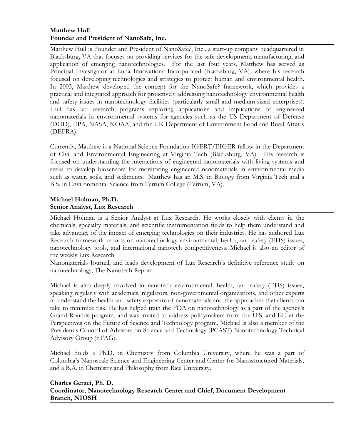# **Matthew Hull Founder and President of NanoSafe, Inc.**

Matthew Hull is Founder and President of NanoSafe?, Inc., a start-up company headquartered in Blacksburg, VA that focuses on providing services for the safe development, manufacturing, and application of emerging nanotechnologies. For the last four years, Matthew has served as Principal Investigator at Luna Innovations Incorporated (Blacksburg, VA), where his research focused on developing technologies and strategies to protect human and environmental health. In 2003, Matthew developed the concept for the NanoSafe? framework, which provides a practical and integrated approach for proactively addressing nanotechnology environmental health and safety issues in nanotechnology facilities (particularly small and medium-sized enterprises). Hull has led research programs exploring applications and implications of engineered nanomaterials in environmental systems for agencies such as the US Department of Defense (DOD), EPA, NASA, NOAA, and the UK Department of Environment Food and Rural Affairs (DEFRA).

Currently, Matthew is a National Science Foundation IGERT/EIGER fellow in the Department of Civil and Environmental Engineering at Virginia Tech (Blacksburg, VA). His research is focused on understanding the interactions of engineered nanomaterials with living systems and seeks to develop biosensors for monitoring engineered nanomaterials in environmental media such as water, soils, and sediments. Matthew has an M.S. in Biology from Virginia Tech and a B.S. in Environmental Science from Ferrum College (Ferrum, VA).

# **Michael Holman, Ph.D. Senior Analyst, Lux Research**

Michael Holman is a Senior Analyst at Lux Research. He works closely with clients in the chemicals, specialty materials, and scientific instrumentation fields to help them understand and take advantage of the impact of emerging technologies on their industries. He has authored Lux Research framework reports on nanotechnology environmental, health, and safety (EHS) issues, nanotechnology tools, and international nanotech competitiveness. Michael is also an editor of the weekly Lux Research

Nanomaterials Journal, and leads development of Lux Research's definitive reference study on nanotechnology, The Nanotech Report.

Michael is also deeply involved in nanotech environmental, health, and safety (EHS) issues, speaking regularly with academics, regulators, non-governmental organizations, and other experts to understand the health and safety exposure of nanomaterials and the approaches that clients can take to minimize risk. He has helped train the FDA on nanotechnology as a part of the agency's Grand Rounds program, and was invited to address policymakers from the U.S. and EU at the Perspectives on the Future of Science and Technology program. Michael is also a member of the President's Council of Advisors on Science and Technology (PCAST) Nanotechnology Technical Advisory Group (nTAG).

Michael holds a Ph.D. in Chemistry from Columbia University, where he was a part of Columbia's Nanoscale Science and Engineering Center and Center for Nanostructured Materials, and a B.A. in Chemistry and Philosophy from Rice University.

# **Charles Geraci, Ph. D. Coordinator, Nanotechnology Research Center and Chief, Document Development Branch, NIOSH**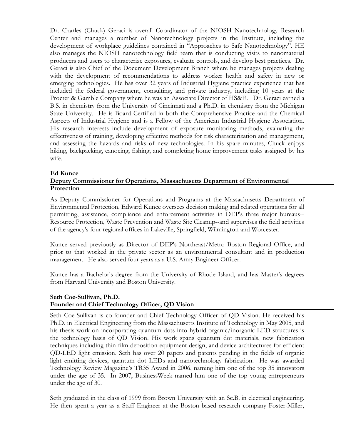Dr. Charles (Chuck) Geraci is overall Coordinator of the NIOSH Nanotechnology Research Center and manages a number of Nanotechnology projects in the Institute, including the development of workplace guidelines contained in "Approaches to Safe Nanotechnology". HE also manages the NIOSH nanotechnology field team that is conducting visits to nanomaterial producers and users to characterize exposures, evaluate controls, and develop best practices. Dr. Geraci is also Chief of the Document Development Branch where he manages projects dealing with the development of recommendations to address worker health and safety in new or emerging technologies. He has over 32 years of Industrial Hygiene practice experience that has included the federal government, consulting, and private industry, including 10 years at the Procter & Gamble Company where he was an Associate Director of HS&E. Dr. Geraci earned a B.S. in chemistry from the University of Cincinnati and a Ph.D. in chemistry from the Michigan State University. He is Board Certified in both the Comprehensive Practice and the Chemical Aspects of Industrial Hygiene and is a Fellow of the American Industrial Hygiene Association. His research interests include development of exposure monitoring methods, evaluating the effectiveness of training, developing effective methods for risk characterization and management, and assessing the hazards and risks of new technologies. In his spare minutes, Chuck enjoys hiking, backpacking, canoeing, fishing, and completing home improvement tasks assigned by his wife.

#### **Ed Kunce**

# **Deputy Commissioner for Operations, Massachusetts Department of Environmental Protection**

As Deputy Commissioner for Operations and Programs at the Massachusetts Department of Environmental Protection, Edward Kunce oversees decision making and related operations for all permitting, assistance, compliance and enforcement activities in DEP's three major bureaus-- Resource Protection, Waste Prevention and Waste Site Cleanup--and supervises the field activities of the agency's four regional offices in Lakeville, Springfield, Wilmington and Worcester.

Kunce served previously as Director of DEP's Northeast/Metro Boston Regional Office, and prior to that worked in the private sector as an environmental consultant and in production management. He also served four years as a U.S. Army Engineer Officer.

Kunce has a Bachelor's degree from the University of Rhode Island, and has Master's degrees from Harvard University and Boston University.

#### **Seth Coe-Sullivan, Ph.D. Founder and Chief Technology Officer, QD Vision**

Seth Coe-Sullivan is co-founder and Chief Technology Officer of QD Vision. He received his Ph.D. in Electrical Engineering from the Massachusetts Institute of Technology in May 2005, and his thesis work on incorporating quantum dots into hybrid organic/inorganic LED structures is the technology basis of QD Vision. His work spans quantum dot materials, new fabrication techniques including thin film deposition equipment design, and device architectures for efficient QD-LED light emission. Seth has over 20 papers and patents pending in the fields of organic light emitting devices, quantum dot LEDs and nanotechnology fabrication. He was awarded Technology Review Magazine's TR35 Award in 2006, naming him one of the top 35 innovators under the age of 35. In 2007, BusinessWeek named him one of the top young entrepreneurs under the age of 30.

Seth graduated in the class of 1999 from Brown University with an Sc.B. in electrical engineering. He then spent a year as a Staff Engineer at the Boston based research company Foster-Miller,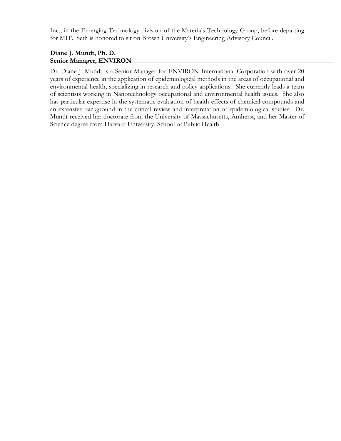Inc., in the Emerging Technology division of the Materials Technology Group, before departing for MIT. Seth is honored to sit on Brown University's Engineering Advisory Council.

# **Diane J. Mundt, Ph. D. Senior Manager, ENVIRON**

Dr. Diane J. Mundt is a Senior Manager for ENVIRON International Corporation with over 20 years of experience in the application of epidemiological methods in the areas of occupational and environmental health, specializing in research and policy applications. She currently leads a team of scientists working in Nanotechnology occupational and environmental health issues. She also has particular expertise in the systematic evaluation of health effects of chemical compounds and an extensive background in the critical review and interpretation of epidemiological studies. Dr. Mundt received her doctorate from the University of Massachusetts, Amherst, and her Master of Science degree from Harvard University, School of Public Health.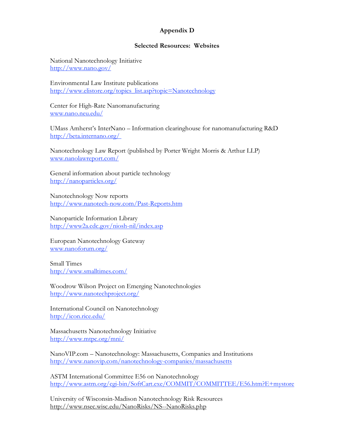# **Appendix D**

#### **Selected Resources: Websites**

National Nanotechnology Initiative http://www.nano.gov/

Environmental Law Institute publications http://www.elistore.org/topics\_list.asp?topic=Nanotechnology

Center for High-Rate Nanomanufacturing www.nano.neu.edu/

UMass Amherst's InterNano – Information clearinghouse for nanomanufacturing R&D http://beta.internano.org/

Nanotechnology Law Report (published by Porter Wright Morris & Arthur LLP) www.nanolawreport.com/

General information about particle technology http://nanoparticles.org/

Nanotechnology Now reports http://www.nanotech-now.com/Past-Reports.htm

Nanoparticle Information Library http://www2a.cdc.gov/niosh-nil/index.asp

European Nanotechnology Gateway www.nanoforum.org/

Small Times http://www.smalltimes.com/

Woodrow Wilson Project on Emerging Nanotechnologies http://www.nanotechproject.org/

International Council on Nanotechnology http://icon.rice.edu/

Massachusetts Nanotechnology Initiative http://www.mtpc.org/mni/

NanoVIP.com – Nanotechnology: Massachusetts, Companies and Institutions http://www.nanovip.com/nanotechnology-companies/massachusetts

ASTM International Committee E56 on Nanotechnology http://www.astm.org/cgi-bin/SoftCart.exe/COMMIT/COMMITTEE/E56.htm?E+mystore

University of Wisconsin-Madison Nanotechnology Risk Resources http://www.nsec.wisc.edu/NanoRisks/NS--NanoRisks.php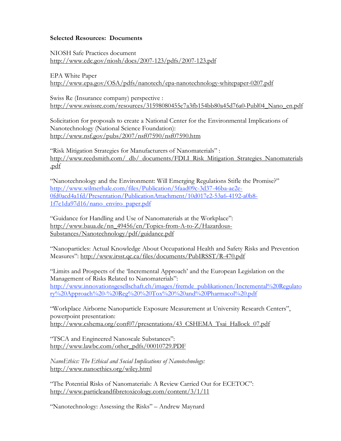#### **Selected Resources: Documents**

NIOSH Safe Practices document http://www.cdc.gov/niosh/docs/2007-123/pdfs/2007-123.pdf

EPA White Paper http://www.epa.gov/OSA/pdfs/nanotech/epa-nanotechnology-whitepaper-0207.pdf

Swiss Re (Insurance company) perspective : http://www.swissre.com/resources/31598080455c7a3fb154bb80a45d76a0-Publ04\_Nano\_en.pdf

Solicitation for proposals to create a National Center for the Environmental Implications of Nanotechnology (National Science Foundation): http://www.nsf.gov/pubs/2007/nsf07590/nsf07590.htm

"Risk Mitigation Strategies for Manufacturers of Nanomaterials" : http://www.reedsmith.com/\_db/\_documents/FDLI\_Risk\_Mitigation\_Strategies\_Nanomaterials .pdf

"Nanotechnology and the Environment: Will Emerging Regulations Stifle the Promise?" http://www.wilmerhale.com/files/Publication/5faad09c-3d37-46ba-ae2e-0fd0acd4a1fd/Presentation/PublicationAttachment/10d017e2-53a6-4192-a0b8- 1f7c1da97d16/nano\_enviro\_paper.pdf

"Guidance for Handling and Use of Nanomaterials at the Workplace": http://www.baua.de/nn\_49456/en/Topics-from-A-to-Z/Hazardous-Substances/Nanotechnology/pdf/guidance.pdf

"Nanoparticles: Actual Knowledge About Occupational Health and Safety Risks and Prevention Measures": http://www.irsst.qc.ca/files/documents/PubIRSST/R-470.pdf

"Limits and Prospects of the 'Incremental Approach' and the European Legislation on the Management of Risks Related to Nanomaterials": http://www.innovationsgesellschaft.ch/images/fremde\_publikationen/Incremental%20Regulato ry%20Approach%20-%20Reg%20%20Tox%20%20and%20Pharmacol%20.pdf

"Workplace Airborne Nanoparticle Exposure Measurement at University Research Centers", powerpoint presentation: http://www.cshema.org/conf07/presentations/43\_CSHEMA\_Tsai\_Hallock\_07.pdf

"TSCA and Engineered Nanoscale Substances": http://www.lawbc.com/other\_pdfs/00010729.PDF

*NanoEthics: The Ethical and Social Implications of Nanotechnology:* http://www.nanoethics.org/wiley.html

"The Potential Risks of Nanomaterials: A Review Carried Out for ECETOC": http://www.particleandfibretoxicology.com/content/3/1/11

"Nanotechnology: Assessing the Risks" – Andrew Maynard